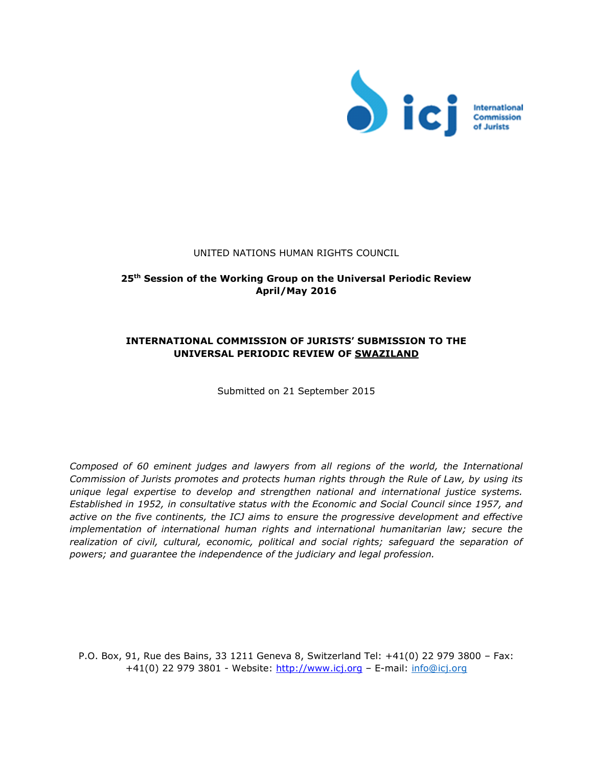

#### UNITED NATIONS HUMAN RIGHTS COUNCIL

# **25th Session of the Working Group on the Universal Periodic Review April/May 2016**

# **INTERNATIONAL COMMISSION OF JURISTS' SUBMISSION TO THE UNIVERSAL PERIODIC REVIEW OF SWAZILAND**

Submitted on 21 September 2015

*Composed of 60 eminent judges and lawyers from all regions of the world, the International Commission of Jurists promotes and protects human rights through the Rule of Law, by using its unique legal expertise to develop and strengthen national and international justice systems. Established in 1952, in consultative status with the Economic and Social Council since 1957, and active on the five continents, the ICJ aims to ensure the progressive development and effective implementation of international human rights and international humanitarian law; secure the realization of civil, cultural, economic, political and social rights; safeguard the separation of powers; and guarantee the independence of the judiciary and legal profession.* 

P.O. Box, 91, Rue des Bains, 33 1211 Geneva 8, Switzerland Tel: +41(0) 22 979 3800 – Fax: +41(0) 22 979 3801 - Website: [http://www.icj.org](http://www.icj.org/) - E-mail: info@icj.org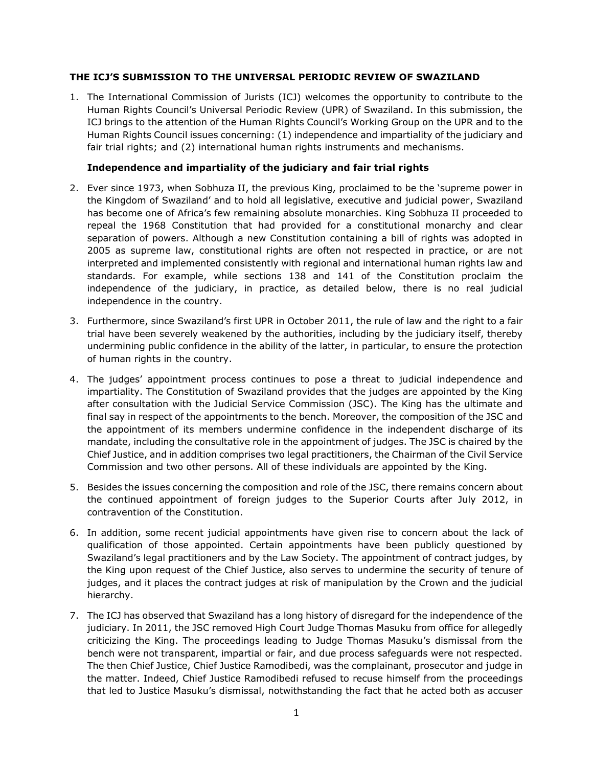## **THE ICJ'S SUBMISSION TO THE UNIVERSAL PERIODIC REVIEW OF SWAZILAND**

1. The International Commission of Jurists (ICJ) welcomes the opportunity to contribute to the Human Rights Council's Universal Periodic Review (UPR) of Swaziland. In this submission, the ICJ brings to the attention of the Human Rights Council's Working Group on the UPR and to the Human Rights Council issues concerning: (1) independence and impartiality of the judiciary and fair trial rights; and (2) international human rights instruments and mechanisms.

## **Independence and impartiality of the judiciary and fair trial rights**

- 2. Ever since 1973, when Sobhuza II, the previous King, proclaimed to be the 'supreme power in the Kingdom of Swaziland' and to hold all legislative, executive and judicial power, Swaziland has become one of Africa's few remaining absolute monarchies. King Sobhuza II proceeded to repeal the 1968 Constitution that had provided for a constitutional monarchy and clear separation of powers. Although a new Constitution containing a bill of rights was adopted in 2005 as supreme law, constitutional rights are often not respected in practice, or are not interpreted and implemented consistently with regional and international human rights law and standards. For example, while sections 138 and 141 of the Constitution proclaim the independence of the judiciary, in practice, as detailed below, there is no real judicial independence in the country.
- 3. Furthermore, since Swaziland's first UPR in October 2011, the rule of law and the right to a fair trial have been severely weakened by the authorities, including by the judiciary itself, thereby undermining public confidence in the ability of the latter, in particular, to ensure the protection of human rights in the country.
- 4. The judges' appointment process continues to pose a threat to judicial independence and impartiality. The Constitution of Swaziland provides that the judges are appointed by the King after consultation with the Judicial Service Commission (JSC). The King has the ultimate and final say in respect of the appointments to the bench. Moreover, the composition of the JSC and the appointment of its members undermine confidence in the independent discharge of its mandate, including the consultative role in the appointment of judges. The JSC is chaired by the Chief Justice, and in addition comprises two legal practitioners, the Chairman of the Civil Service Commission and two other persons. All of these individuals are appointed by the King.
- 5. Besides the issues concerning the composition and role of the JSC, there remains concern about the continued appointment of foreign judges to the Superior Courts after July 2012, in contravention of the Constitution.
- 6. In addition, some recent judicial appointments have given rise to concern about the lack of qualification of those appointed. Certain appointments have been publicly questioned by Swaziland's legal practitioners and by the Law Society. The appointment of contract judges, by the King upon request of the Chief Justice, also serves to undermine the security of tenure of judges, and it places the contract judges at risk of manipulation by the Crown and the judicial hierarchy.
- 7. The ICJ has observed that Swaziland has a long history of disregard for the independence of the judiciary. In 2011, the JSC removed High Court Judge Thomas Masuku from office for allegedly criticizing the King. The proceedings leading to Judge Thomas Masuku's dismissal from the bench were not transparent, impartial or fair, and due process safeguards were not respected. The then Chief Justice, Chief Justice Ramodibedi, was the complainant, prosecutor and judge in the matter. Indeed, Chief Justice Ramodibedi refused to recuse himself from the proceedings that led to Justice Masuku's dismissal, notwithstanding the fact that he acted both as accuser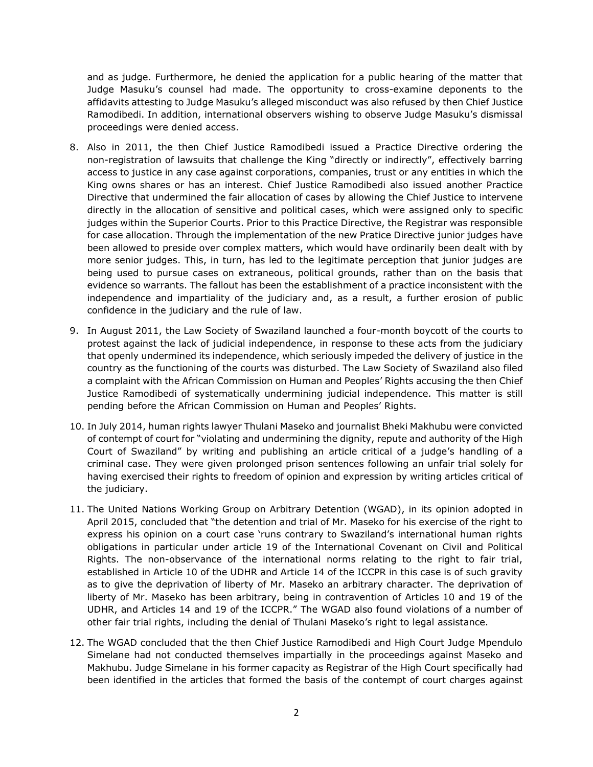and as judge. Furthermore, he denied the application for a public hearing of the matter that Judge Masuku's counsel had made. The opportunity to cross-examine deponents to the affidavits attesting to Judge Masuku's alleged misconduct was also refused by then Chief Justice Ramodibedi. In addition, international observers wishing to observe Judge Masuku's dismissal proceedings were denied access.

- 8. Also in 2011, the then Chief Justice Ramodibedi issued a Practice Directive ordering the non-registration of lawsuits that challenge the King "directly or indirectly", effectively barring access to justice in any case against corporations, companies, trust or any entities in which the King owns shares or has an interest. Chief Justice Ramodibedi also issued another Practice Directive that undermined the fair allocation of cases by allowing the Chief Justice to intervene directly in the allocation of sensitive and political cases, which were assigned only to specific judges within the Superior Courts. Prior to this Practice Directive, the Registrar was responsible for case allocation. Through the implementation of the new Pratice Directive junior judges have been allowed to preside over complex matters, which would have ordinarily been dealt with by more senior judges. This, in turn, has led to the legitimate perception that junior judges are being used to pursue cases on extraneous, political grounds, rather than on the basis that evidence so warrants. The fallout has been the establishment of a practice inconsistent with the independence and impartiality of the judiciary and, as a result, a further erosion of public confidence in the judiciary and the rule of law.
- 9. In August 2011, the Law Society of Swaziland launched a four-month boycott of the courts to protest against the lack of judicial independence, in response to these acts from the judiciary that openly undermined its independence, which seriously impeded the delivery of justice in the country as the functioning of the courts was disturbed. The Law Society of Swaziland also filed a complaint with the African Commission on Human and Peoples' Rights accusing the then Chief Justice Ramodibedi of systematically undermining judicial independence. This matter is still pending before the African Commission on Human and Peoples' Rights.
- 10. In July 2014, human rights lawyer Thulani Maseko and journalist Bheki Makhubu were convicted of contempt of court for "violating and undermining the dignity, repute and authority of the High Court of Swaziland" by writing and publishing an article critical of a judge's handling of a criminal case. They were given prolonged prison sentences following an unfair trial solely for having exercised their rights to freedom of opinion and expression by writing articles critical of the judiciary.
- 11. The United Nations Working Group on Arbitrary Detention (WGAD), in its opinion adopted in April 2015, concluded that "the detention and trial of Mr. Maseko for his exercise of the right to express his opinion on a court case 'runs contrary to Swaziland's international human rights obligations in particular under article 19 of the International Covenant on Civil and Political Rights. The non-observance of the international norms relating to the right to fair trial, established in Article 10 of the UDHR and Article 14 of the ICCPR in this case is of such gravity as to give the deprivation of liberty of Mr. Maseko an arbitrary character. The deprivation of liberty of Mr. Maseko has been arbitrary, being in contravention of Articles 10 and 19 of the UDHR, and Articles 14 and 19 of the ICCPR." The WGAD also found violations of a number of other fair trial rights, including the denial of Thulani Maseko's right to legal assistance.
- 12. The WGAD concluded that the then Chief Justice Ramodibedi and High Court Judge Mpendulo Simelane had not conducted themselves impartially in the proceedings against Maseko and Makhubu. Judge Simelane in his former capacity as Registrar of the High Court specifically had been identified in the articles that formed the basis of the contempt of court charges against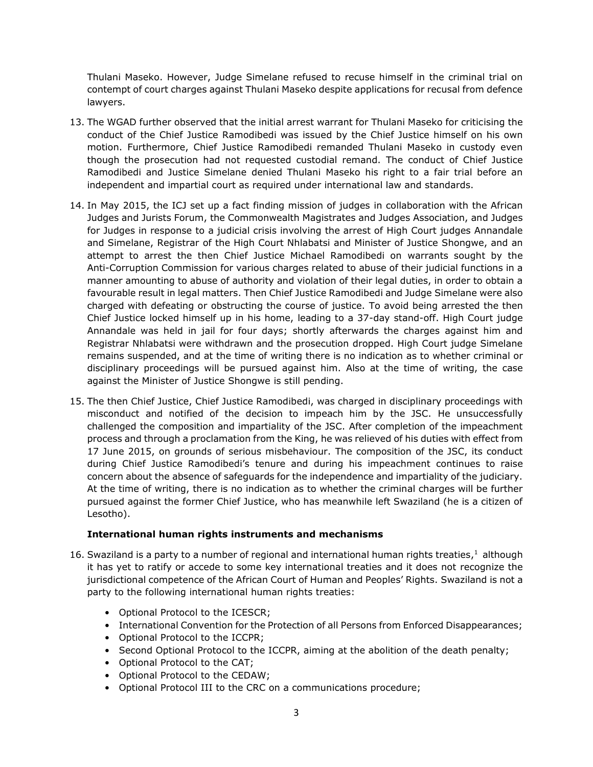Thulani Maseko. However, Judge Simelane refused to recuse himself in the criminal trial on contempt of court charges against Thulani Maseko despite applications for recusal from defence lawyers.

- 13. The WGAD further observed that the initial arrest warrant for Thulani Maseko for criticising the conduct of the Chief Justice Ramodibedi was issued by the Chief Justice himself on his own motion. Furthermore, Chief Justice Ramodibedi remanded Thulani Maseko in custody even though the prosecution had not requested custodial remand. The conduct of Chief Justice Ramodibedi and Justice Simelane denied Thulani Maseko his right to a fair trial before an independent and impartial court as required under international law and standards.
- 14. In May 2015, the ICJ set up a fact finding mission of judges in collaboration with the African Judges and Jurists Forum, the Commonwealth Magistrates and Judges Association, and Judges for Judges in response to a judicial crisis involving the arrest of High Court judges Annandale and Simelane, Registrar of the High Court Nhlabatsi and Minister of Justice Shongwe, and an attempt to arrest the then Chief Justice Michael Ramodibedi on warrants sought by the Anti-Corruption Commission for various charges related to abuse of their judicial functions in a manner amounting to abuse of authority and violation of their legal duties, in order to obtain a favourable result in legal matters. Then Chief Justice Ramodibedi and Judge Simelane were also charged with defeating or obstructing the course of justice. To avoid being arrested the then Chief Justice locked himself up in his home, leading to a 37-day stand-off. High Court judge Annandale was held in jail for four days; shortly afterwards the charges against him and Registrar Nhlabatsi were withdrawn and the prosecution dropped. High Court judge Simelane remains suspended, and at the time of writing there is no indication as to whether criminal or disciplinary proceedings will be pursued against him. Also at the time of writing, the case against the Minister of Justice Shongwe is still pending.
- 15. The then Chief Justice, Chief Justice Ramodibedi, was charged in disciplinary proceedings with misconduct and notified of the decision to impeach him by the JSC. He unsuccessfully challenged the composition and impartiality of the JSC. After completion of the impeachment process and through a proclamation from the King, he was relieved of his duties with effect from 17 June 2015, on grounds of serious misbehaviour. The composition of the JSC, its conduct during Chief Justice Ramodibedi's tenure and during his impeachment continues to raise concern about the absence of safeguards for the independence and impartiality of the judiciary. At the time of writing, there is no indication as to whether the criminal charges will be further pursued against the former Chief Justice, who has meanwhile left Swaziland (he is a citizen of Lesotho).

## **International human rights instruments and mechanisms**

- 16. Swaziland is a party to a number of regional and international human rights treaties,<sup>1</sup> although it has yet to ratify or accede to some key international treaties and it does not recognize the jurisdictional competence of the African Court of Human and Peoples' Rights. Swaziland is not a party to the following international human rights treaties:
	- Optional Protocol to the ICESCR;
	- International Convention for the Protection of all Persons from Enforced Disappearances;
	- Optional Protocol to the ICCPR;
	- Second Optional Protocol to the ICCPR, aiming at the abolition of the death penalty;
	- Optional Protocol to the CAT;
	- Optional Protocol to the CEDAW;
	- Optional Protocol III to the CRC on a communications procedure;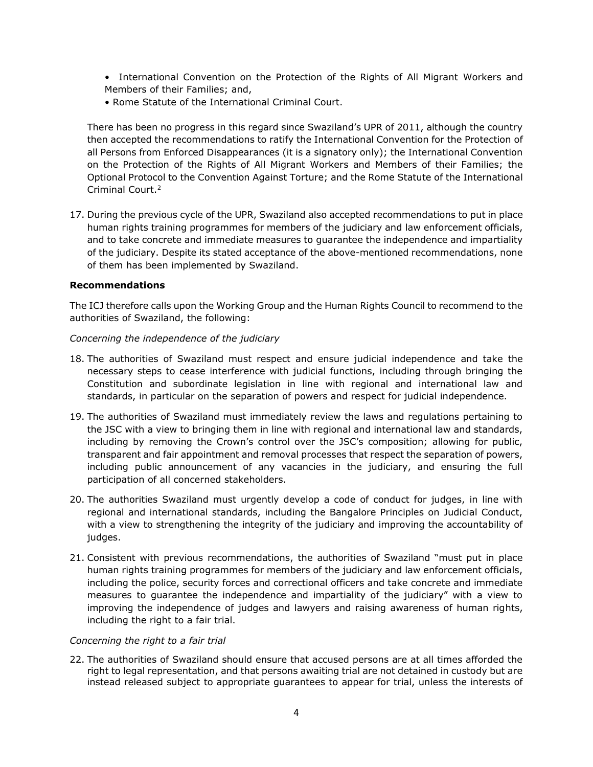- International Convention on the Protection of the Rights of All Migrant Workers and Members of their Families; and,
- Rome Statute of the International Criminal Court.

There has been no progress in this regard since Swaziland's UPR of 2011, although the country then accepted the recommendations to ratify the International Convention for the Protection of all Persons from Enforced Disappearances (it is a signatory only); the International Convention on the Protection of the Rights of All Migrant Workers and Members of their Families; the Optional Protocol to the Convention Against Torture; and the Rome Statute of the International Criminal Court.<sup>2</sup>

17. During the previous cycle of the UPR, Swaziland also accepted recommendations to put in place human rights training programmes for members of the judiciary and law enforcement officials, and to take concrete and immediate measures to guarantee the independence and impartiality of the judiciary. Despite its stated acceptance of the above-mentioned recommendations, none of them has been implemented by Swaziland.

#### **Recommendations**

The ICJ therefore calls upon the Working Group and the Human Rights Council to recommend to the authorities of Swaziland, the following:

## *Concerning the independence of the judiciary*

- 18. The authorities of Swaziland must respect and ensure judicial independence and take the necessary steps to cease interference with judicial functions, including through bringing the Constitution and subordinate legislation in line with regional and international law and standards, in particular on the separation of powers and respect for judicial independence.
- 19. The authorities of Swaziland must immediately review the laws and regulations pertaining to the JSC with a view to bringing them in line with regional and international law and standards, including by removing the Crown's control over the JSC's composition; allowing for public, transparent and fair appointment and removal processes that respect the separation of powers, including public announcement of any vacancies in the judiciary, and ensuring the full participation of all concerned stakeholders.
- 20. The authorities Swaziland must urgently develop a code of conduct for judges, in line with regional and international standards, including the Bangalore Principles on Judicial Conduct, with a view to strengthening the integrity of the judiciary and improving the accountability of judges.
- 21. Consistent with previous recommendations, the authorities of Swaziland "must put in place human rights training programmes for members of the judiciary and law enforcement officials, including the police, security forces and correctional officers and take concrete and immediate measures to guarantee the independence and impartiality of the judiciary" with a view to improving the independence of judges and lawyers and raising awareness of human rights, including the right to a fair trial.

#### *Concerning the right to a fair trial*

22. The authorities of Swaziland should ensure that accused persons are at all times afforded the right to legal representation, and that persons awaiting trial are not detained in custody but are instead released subject to appropriate guarantees to appear for trial, unless the interests of